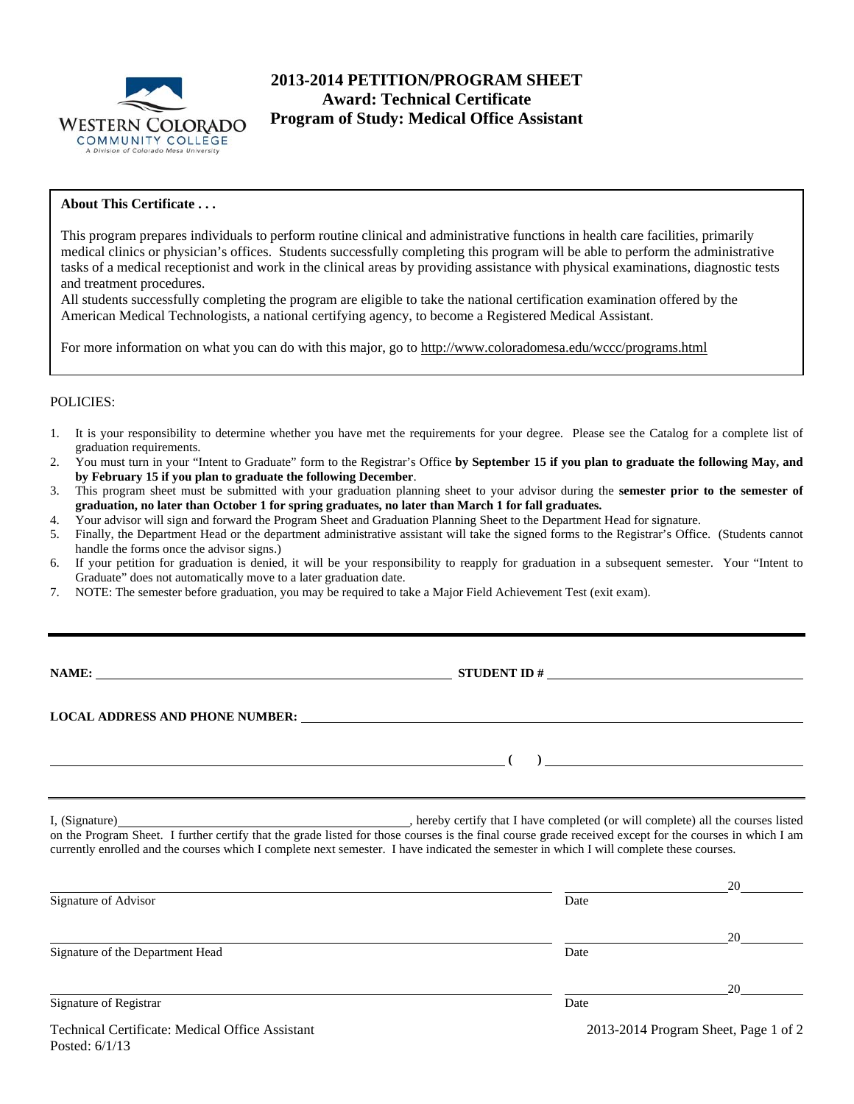

# **2013-2014 PETITION/PROGRAM SHEET Award: Technical Certificate Program of Study: Medical Office Assistant**

### **About This Certificate . . .**

This program prepares individuals to perform routine clinical and administrative functions in health care facilities, primarily medical clinics or physician's offices. Students successfully completing this program will be able to perform the administrative tasks of a medical receptionist and work in the clinical areas by providing assistance with physical examinations, diagnostic tests and treatment procedures.

All students successfully completing the program are eligible to take the national certification examination offered by the American Medical Technologists, a national certifying agency, to become a Registered Medical Assistant.

For more information on what you can do with this major, go to http://www.coloradomesa.edu/wccc/programs.html

#### POLICIES:

- 1. It is your responsibility to determine whether you have met the requirements for your degree. Please see the Catalog for a complete list of graduation requirements.
- 2. You must turn in your "Intent to Graduate" form to the Registrar's Office **by September 15 if you plan to graduate the following May, and by February 15 if you plan to graduate the following December**.
- 3. This program sheet must be submitted with your graduation planning sheet to your advisor during the **semester prior to the semester of graduation, no later than October 1 for spring graduates, no later than March 1 for fall graduates.**
- 4. Your advisor will sign and forward the Program Sheet and Graduation Planning Sheet to the Department Head for signature.
- 5. Finally, the Department Head or the department administrative assistant will take the signed forms to the Registrar's Office. (Students cannot handle the forms once the advisor signs.)
- 6. If your petition for graduation is denied, it will be your responsibility to reapply for graduation in a subsequent semester. Your "Intent to Graduate" does not automatically move to a later graduation date.
- 7. NOTE: The semester before graduation, you may be required to take a Major Field Achievement Test (exit exam).

**STUDENT ID**  $#$ 

**LOCAL ADDRESS AND PHONE NUMBER:**

 **( )** 

I, (Signature) , hereby certify that I have completed (or will complete) all the courses listed on the Program Sheet. I further certify that the grade listed for those courses is the final course grade received except for the courses in which I am currently enrolled and the courses which I complete next semester. I have indicated the semester in which I will complete these courses.

|                                                 |                                      | 20 |  |
|-------------------------------------------------|--------------------------------------|----|--|
| Signature of Advisor                            | Date                                 |    |  |
|                                                 |                                      | 20 |  |
| Signature of the Department Head                | Date                                 |    |  |
|                                                 |                                      | 20 |  |
| Signature of Registrar                          | Date                                 |    |  |
| Technical Certificate: Medical Office Assistant | 2013-2014 Program Sheet, Page 1 of 2 |    |  |

Posted: 6/1/13